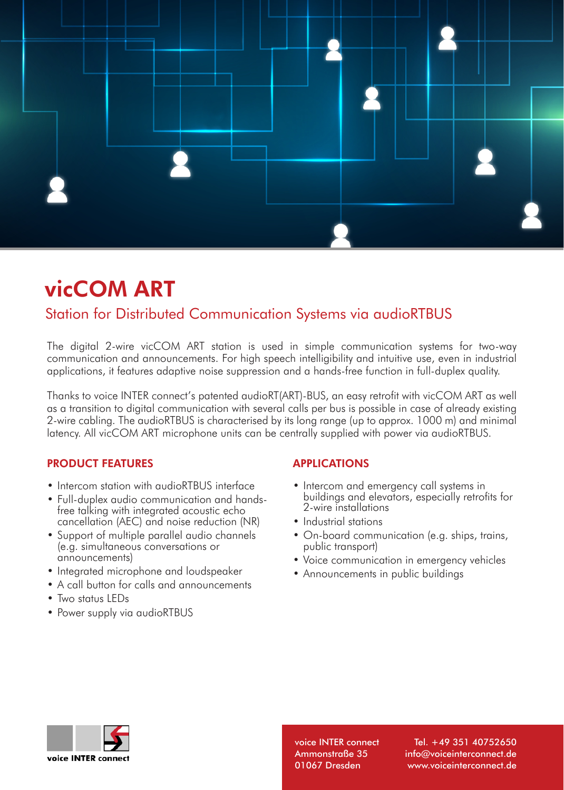

# vicCOM ART

# Station for Distributed Communication Systems via audioRTBUS

The digital 2-wire vicCOM ART station is used in simple communication systems for two-way communication and announcements. For high speech intelligibility and intuitive use, even in industrial applications, it features adaptive noise suppression and a hands-free function in full-duplex quality.

Thanks to voice INTER connect's patented audioRT(ART)-BUS, an easy retrofit with vicCOM ART as well as a transition to digital communication with several calls per bus is possible in case of already existing 2-wire cabling. The audioRTBUS is characterised by its long range (up to approx. 1000 m) and minimal latency. All vicCOM ART microphone units can be centrally supplied with power via audioRTBUS.

## PRODUCT FEATURES

- Intercom station with audioRTBUS interface
- Full-duplex audio communication and handsfree talking with integrated acoustic echo cancellation (AEC) and noise reduction (NR)
- Support of multiple parallel audio channels (e.g. simultaneous conversations or announcements)
- Integrated microphone and loudspeaker
- A call button for calls and announcements
- Two status LEDs
- Power supply via audioRTBUS

### APPLICATIONS

- Intercom and emergency call systems in buildings and elevators, especially retrofits for 2-wire installations
- Industrial stations
- On-board communication (e.g. ships, trains, public transport)
- Voice communication in emergency vehicles
- Announcements in public buildings



voice INTER connect Ammonstraße 35 01067 Dresden

Tel. +49 351 40752650 info@voiceinterconnect.de www.voiceinterconnect.de